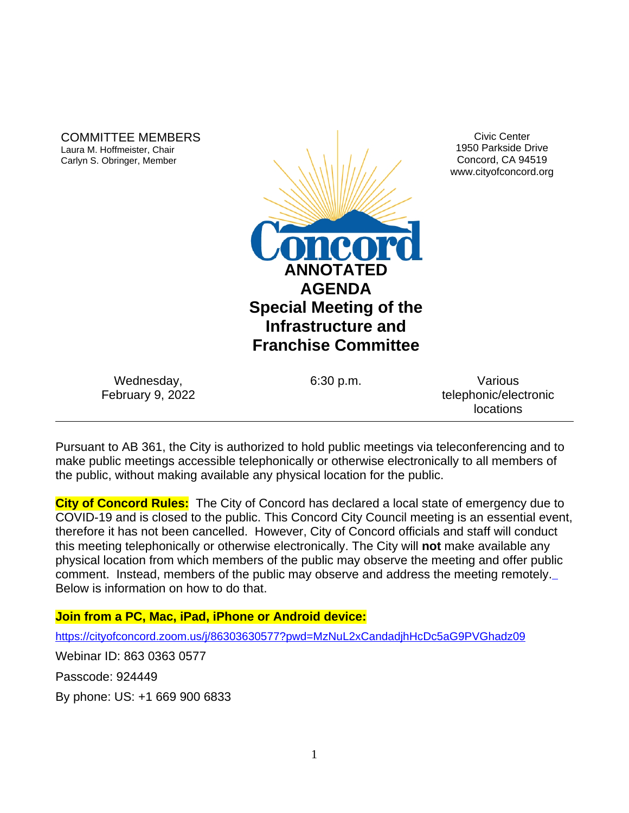COMMITTEE MEMBERS Laura M. Hoffmeister, Chair Carlyn S. Obringer, Member



Civic Center 1950 Parkside Drive Concord, CA 94519 www.cityofconcord.org

| Wednesday,              |  |
|-------------------------|--|
| <b>February 9, 2022</b> |  |

6:30 p.m. Various telephonic/electronic locations

Pursuant to AB 361, the City is authorized to hold public meetings via teleconferencing and to make public meetings accessible telephonically or otherwise electronically to all members of the public, without making available any physical location for the public.

**City of Concord Rules:** The City of Concord has declared a local state of emergency due to COVID-19 and is closed to the public. This Concord City Council meeting is an essential event, therefore it has not been cancelled. However, City of Concord officials and staff will conduct this meeting telephonically or otherwise electronically. The City will **not** make available any physical location from which members of the public may observe the meeting and offer public comment. Instead, members of the public may observe and address the meeting remotely. Below is information on how to do that.

## **Join from a PC, Mac, iPad, iPhone or Android device:**

<https://cityofconcord.zoom.us/j/86303630577?pwd=MzNuL2xCandadjhHcDc5aG9PVGhadz09>

Webinar ID: 863 0363 0577

Passcode: 924449

By phone: US: +1 669 900 6833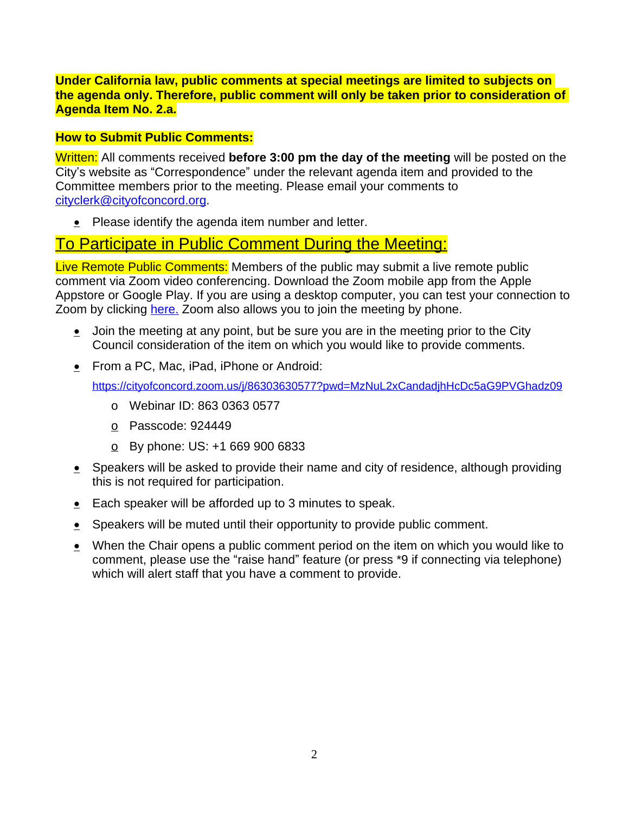**Under California law, public comments at special meetings are limited to subjects on the agenda only. Therefore, public comment will only be taken prior to consideration of Agenda Item No. 2.a.**

### **How to Submit Public Comments:**

Written: All comments received **before 3:00 pm the day of the meeting** will be posted on the City's website as "Correspondence" under the relevant agenda item and provided to the Committee members prior to the meeting. Please email your comments to [cityclerk@cityofconcord.org.](mailto:cityclerk@cityofconcord.org)

 $\bullet$  Please identify the agenda item number and letter.

# To Participate in Public Comment During the Meeting:

Live Remote Public Comments: Members of the public may submit a live remote public comment via Zoom video conferencing. Download the Zoom mobile app from the Apple Appstore or Google Play. If you are using a desktop computer, you can test your connection to Zoom by clicking [here.](https://www.zoom.us/join) Zoom also allows you to join the meeting by phone.

- $\bullet$  Join the meeting at any point, but be sure you are in the meeting prior to the City Council consideration of the item on which you would like to provide comments.
- From a PC, Mac, iPad, iPhone or Android:

<https://cityofconcord.zoom.us/j/86303630577?pwd=MzNuL2xCandadjhHcDc5aG9PVGhadz09>

- o Webinar ID: 863 0363 0577
- o Passcode: 924449
- $\circ$  By phone: US: +1 669 900 6833
- $\bullet$  Speakers will be asked to provide their name and city of residence, although providing this is not required for participation.
- Each speaker will be afforded up to 3 minutes to speak.
- **Speakers will be muted until their opportunity to provide public comment.**
- $\bullet$  When the Chair opens a public comment period on the item on which you would like to comment, please use the "raise hand" feature (or press \*9 if connecting via telephone) which will alert staff that you have a comment to provide.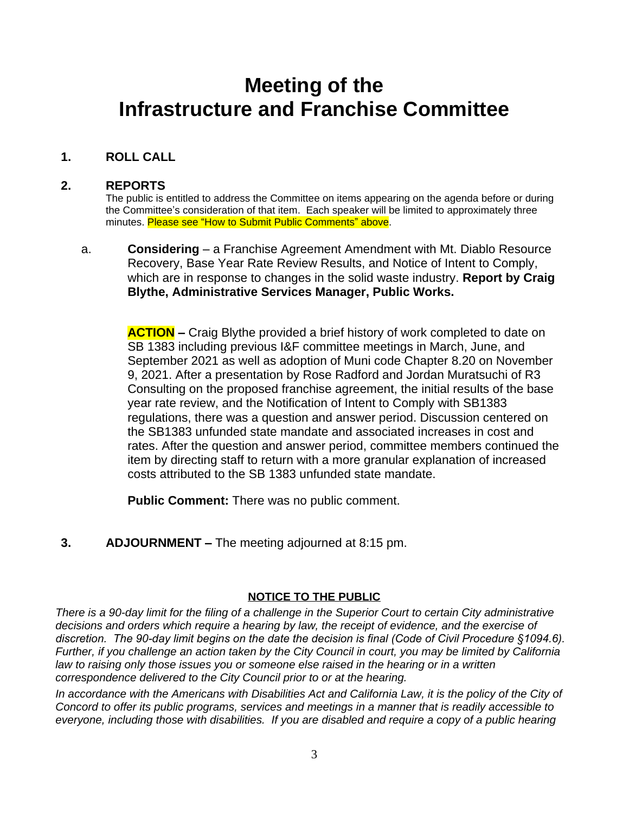# **Meeting of the Infrastructure and Franchise Committee**

# **1. ROLL CALL**

### **2. REPORTS**

The public is entitled to address the Committee on items appearing on the agenda before or during the Committee's consideration of that item. Each speaker will be limited to approximately three minutes. Please see "How to Submit Public Comments" above.

a. **Considering** – a Franchise Agreement Amendment with Mt. Diablo Resource Recovery, Base Year Rate Review Results, and Notice of Intent to Comply, which are in response to changes in the solid waste industry. **Report by Craig Blythe, Administrative Services Manager, Public Works.**

**ACTION –** Craig Blythe provided a brief history of work completed to date on SB 1383 including previous I&F committee meetings in March, June, and September 2021 as well as adoption of Muni code Chapter 8.20 on November 9, 2021. After a presentation by Rose Radford and Jordan Muratsuchi of R3 Consulting on the proposed franchise agreement, the initial results of the base year rate review, and the Notification of Intent to Comply with SB1383 regulations, there was a question and answer period. Discussion centered on the SB1383 unfunded state mandate and associated increases in cost and rates. After the question and answer period, committee members continued the item by directing staff to return with a more granular explanation of increased costs attributed to the SB 1383 unfunded state mandate.

**Public Comment:** There was no public comment.

**3. ADJOURNMENT –** The meeting adjourned at 8:15 pm.

#### **NOTICE TO THE PUBLIC**

*There is a 90-day limit for the filing of a challenge in the Superior Court to certain City administrative*  decisions and orders which require a hearing by law, the receipt of evidence, and the exercise of *discretion. The 90-day limit begins on the date the decision is final (Code of Civil Procedure §1094.6). Further, if you challenge an action taken by the City Council in court, you may be limited by California law to raising only those issues you or someone else raised in the hearing or in a written correspondence delivered to the City Council prior to or at the hearing.*

In accordance with the Americans with Disabilities Act and California Law, it is the policy of the City of *Concord to offer its public programs, services and meetings in a manner that is readily accessible to everyone, including those with disabilities. If you are disabled and require a copy of a public hearing*